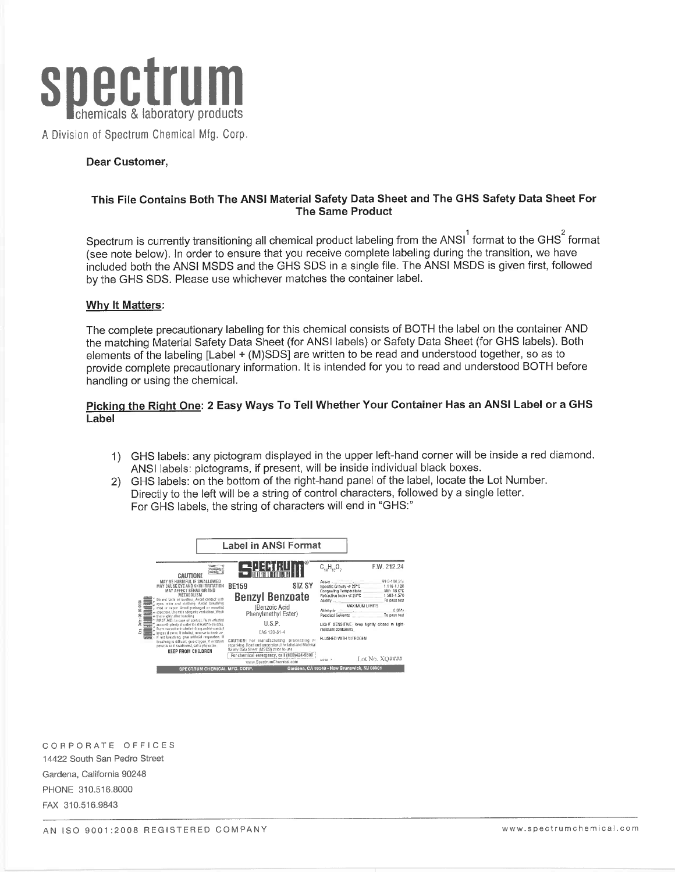

A Division of Spectrum Chemical Mfg. Corp.

#### Dear Customer,

#### This File Contains Both The ANSI Material Safety Data Sheet and The GHS Safety Data Sheet For **The Same Product**

Spectrum is currently transitioning all chemical product labeling from the ANSI<sup>1</sup> format to the GHS<sup>2</sup> format (see note below). In order to ensure that you receive complete labeling during the transition, we have included both the ANSI MSDS and the GHS SDS in a single file. The ANSI MSDS is given first, followed by the GHS SDS. Please use whichever matches the container label.

#### Why It Matters:

The complete precautionary labeling for this chemical consists of BOTH the label on the container AND the matching Material Safety Data Sheet (for ANSI labels) or Safety Data Sheet (for GHS labels). Both elements of the labeling [Label + (M)SDS] are written to be read and understood together, so as to provide complete precautionary information. It is intended for you to read and understood BOTH before handling or using the chemical.

## Picking the Right One: 2 Easy Ways To Tell Whether Your Container Has an ANSI Label or a GHS Label

- 1) GHS labels: any pictogram displayed in the upper left-hand corner will be inside a red diamond. ANSI labels: pictograms, if present, will be inside individual black boxes.
- GHS labels: on the bottom of the right-hand panel of the label, locate the Lot Number. 2) Directly to the left will be a string of control characters, followed by a single letter. For GHS labels, the string of characters will end in "GHS:"



CORPORATE OFFICES 14422 South San Pedro Street Gardena, California 90248 PHONE 310.516.8000 FAX 310.516.9843

AN ISO 9001:2008 REGISTERED COMPANY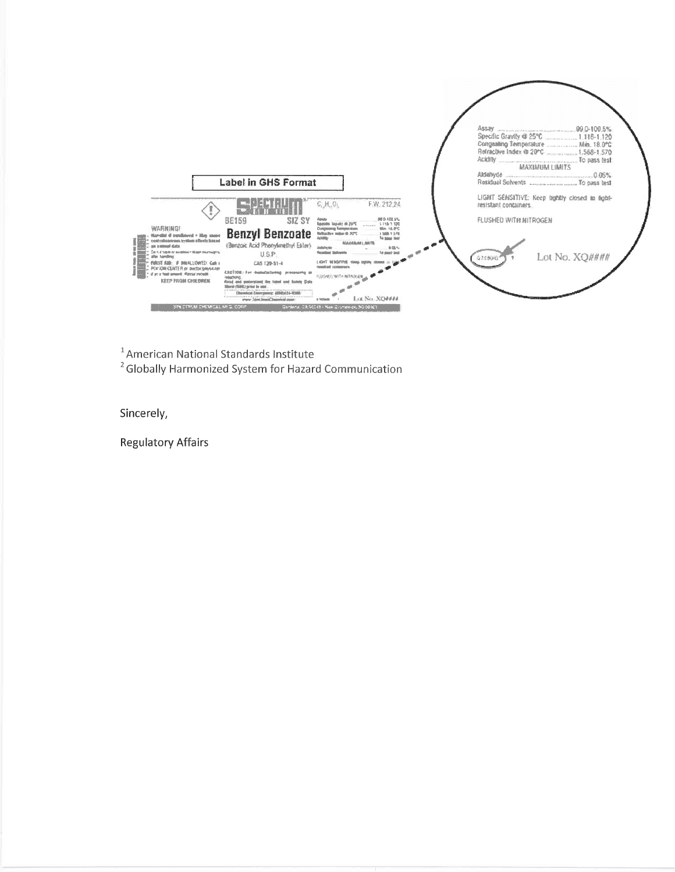

<sup>1</sup> American National Standards Institute

<sup>2</sup> Globally Harmonized System for Hazard Communication

Sincerely,

**Regulatory Affairs**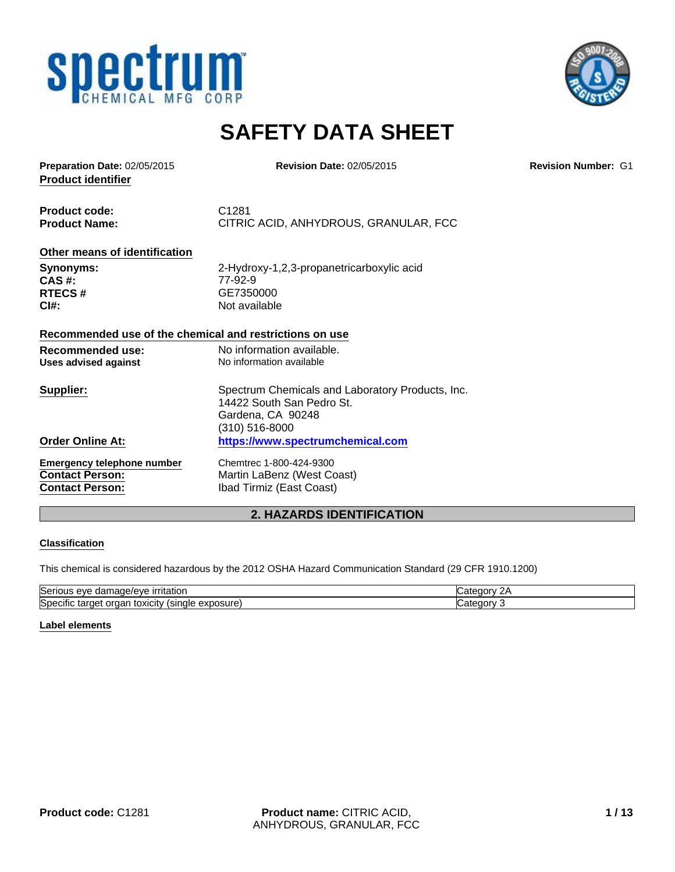



## **SAFETY DATA SHEET**

**Product identifier Preparation Date:** 02/05/2015 **Revision Date:** 02/05/2015 **Revision Number:** G1

**Product code:** C1281 **Product Name:** CITRIC ACID, ANHYDROUS, GRANULAR, FCC

## **Other means of identification**

**CAS #:** 77-92-9<br>**RTECS #** GE7350

**Synonyms:** 2-Hydroxy-1,2,3-propanetricarboxylic acid<br> **CAS** #: **RTECS #** GE7350000 **CI#:** Not available

#### **Recommended use of the chemical and restrictions on use**

| Recommended use:<br>Uses advised against | No information available.<br>No information available                                              |
|------------------------------------------|----------------------------------------------------------------------------------------------------|
| Supplier:                                | Spectrum Chemicals and Laboratory Products, Inc.<br>14422 South San Pedro St.<br>Gardena, CA 90248 |
|                                          | (310) 516-8000                                                                                     |
| <b>Order Online At:</b>                  | https://www.spectrumchemical.com                                                                   |
| <b>Emergency telephone number</b>        | Chemtrec 1-800-424-9300                                                                            |
| <b>Contact Person:</b>                   | Martin LaBenz (West Coast)                                                                         |
| <b>Contact Person:</b>                   | Ibad Tirmiz (East Coast)                                                                           |

## **2. HAZARDS IDENTIFICATION**

#### **Classification**

This chemical is considered hazardous by the 2012 OSHA Hazard Communication Standard (29 CFR 1910.1200)

| Serious<br>ritatior<br>a/AVE<br>eve<br>ır<br>.nader<br>तत          | ı    |
|--------------------------------------------------------------------|------|
| Specific<br>(xposureدی<br>target<br>. LOXICItV '<br>'sınale<br>ааг | ונזר |

#### **Label elements**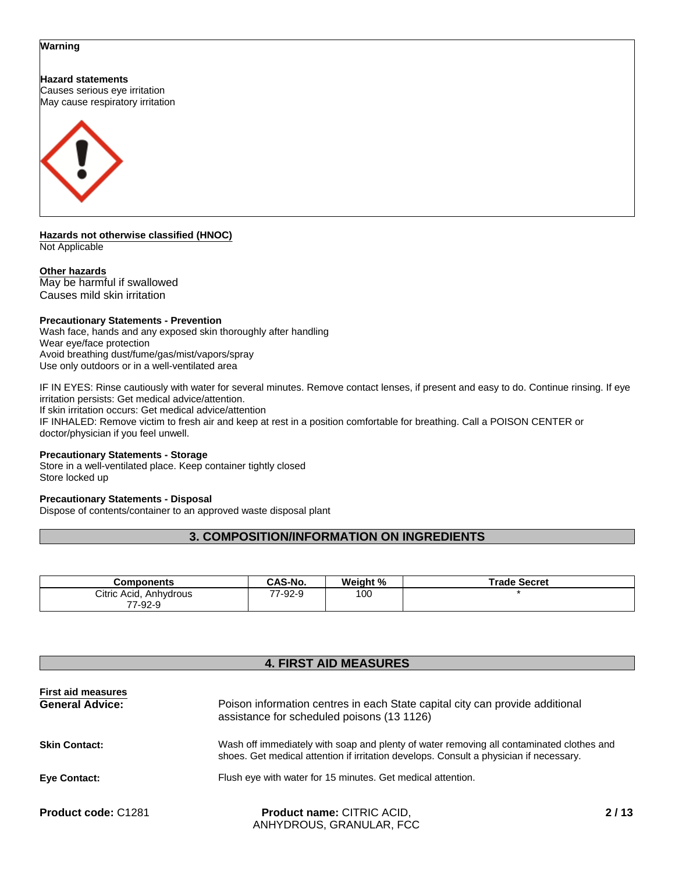#### **Warning**

**Hazard statements** Causes serious eye irritation

May cause respiratory irritation



**Hazards not otherwise classified (HNOC)** Not Applicable

#### **Other hazards**

May be harmful if swallowed Causes mild skin irritation

#### **Precautionary Statements - Prevention**

Wash face, hands and any exposed skin thoroughly after handling Wear eye/face protection Avoid breathing dust/fume/gas/mist/vapors/spray Use only outdoors or in a well-ventilated area

IF IN EYES: Rinse cautiously with water for several minutes. Remove contact lenses, if present and easy to do. Continue rinsing. If eye irritation persists: Get medical advice/attention. If skin irritation occurs: Get medical advice/attention

IF INHALED: Remove victim to fresh air and keep at rest in a position comfortable for breathing. Call a POISON CENTER or doctor/physician if you feel unwell.

#### **Precautionary Statements - Storage**

Store in a well-ventilated place. Keep container tightly closed Store locked up

#### **Precautionary Statements - Disposal**

Dispose of contents/container to an approved waste disposal plant

## **3. COMPOSITION/INFORMATION ON INGREDIENTS**

| Components             | CAS-No. | Weight % | <b>Trade Secret</b> |
|------------------------|---------|----------|---------------------|
| Citric Acid, Anhydrous | 7-92-9  | 100      |                     |
| 7-92-9<br>ララ           |         |          |                     |

## **4. FIRST AID MEASURES**

| <b>First aid measures</b><br><b>General Advice:</b><br>Poison information centres in each State capital city can provide additional<br>assistance for scheduled poisons (13 1126) |                                                                                                                                                                                    |     |
|-----------------------------------------------------------------------------------------------------------------------------------------------------------------------------------|------------------------------------------------------------------------------------------------------------------------------------------------------------------------------------|-----|
| <b>Skin Contact:</b>                                                                                                                                                              | Wash off immediately with soap and plenty of water removing all contaminated clothes and<br>shoes. Get medical attention if irritation develops. Consult a physician if necessary. |     |
| Eye Contact:                                                                                                                                                                      | Flush eye with water for 15 minutes. Get medical attention.                                                                                                                        |     |
| <b>Product code: C1281</b>                                                                                                                                                        | Product name: CITRIC ACID,<br>ANHYDROUS, GRANULAR, FCC                                                                                                                             | 211 |

 **2 / 13**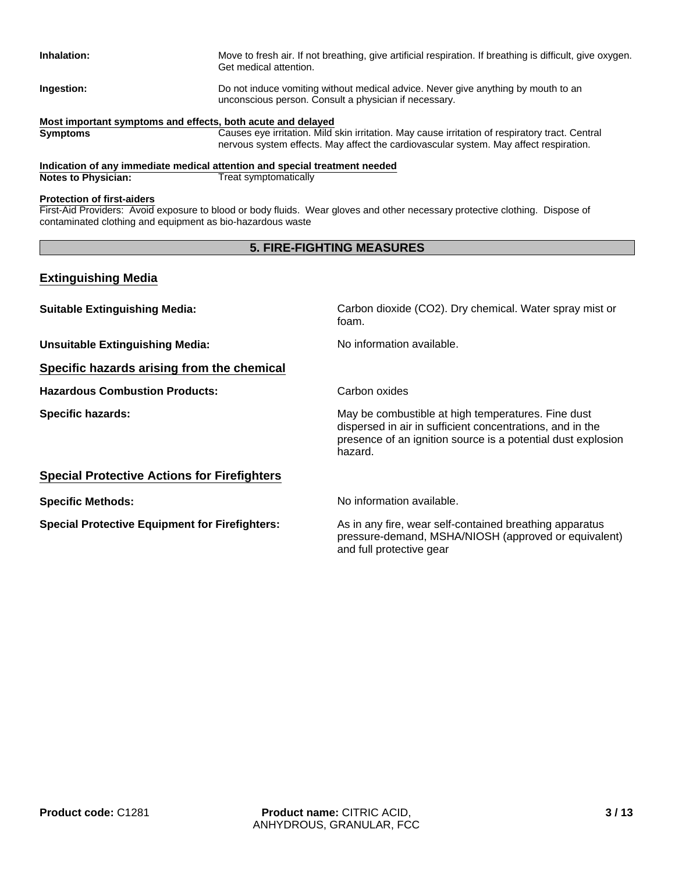| Inhalation:                                                 | Move to fresh air. If not breathing, give artificial respiration. If breathing is difficult, give oxygen.<br>Get medical attention.        |
|-------------------------------------------------------------|--------------------------------------------------------------------------------------------------------------------------------------------|
| Ingestion:                                                  | Do not induce vomiting without medical advice. Never give anything by mouth to an<br>unconscious person. Consult a physician if necessary. |
| Most important symptoms and effects, both acute and delayed |                                                                                                                                            |
| <b>Symptoms</b>                                             | Causes eye irritation. Mild skin irritation. May cause irritation of respiratory tract. Central                                            |
|                                                             | nervous system effects. May affect the cardiovascular system. May affect respiration.                                                      |

**Indication of any immediate medical attention and special treatment needed Treat symptomatically** 

#### **Protection of first-aiders**

First-Aid Providers: Avoid exposure to blood or body fluids. Wear gloves and other necessary protective clothing. Dispose of contaminated clothing and equipment as bio-hazardous waste

## **5. FIRE-FIGHTING MEASURES**

## **Extinguishing Media**

| <b>Suitable Extinguishing Media:</b>                  | Carbon dioxide (CO2). Dry chemical. Water spray mist or<br>foam.                                                                                                                           |
|-------------------------------------------------------|--------------------------------------------------------------------------------------------------------------------------------------------------------------------------------------------|
| <b>Unsuitable Extinguishing Media:</b>                | No information available.                                                                                                                                                                  |
| Specific hazards arising from the chemical            |                                                                                                                                                                                            |
| <b>Hazardous Combustion Products:</b>                 | Carbon oxides                                                                                                                                                                              |
| <b>Specific hazards:</b>                              | May be combustible at high temperatures. Fine dust<br>dispersed in air in sufficient concentrations, and in the<br>presence of an ignition source is a potential dust explosion<br>hazard. |
| <b>Special Protective Actions for Firefighters</b>    |                                                                                                                                                                                            |
| <b>Specific Methods:</b>                              | No information available.                                                                                                                                                                  |
| <b>Special Protective Equipment for Firefighters:</b> | As in any fire, wear self-contained breathing apparatus<br>pressure-demand, MSHA/NIOSH (approved or equivalent)<br>and full protective gear                                                |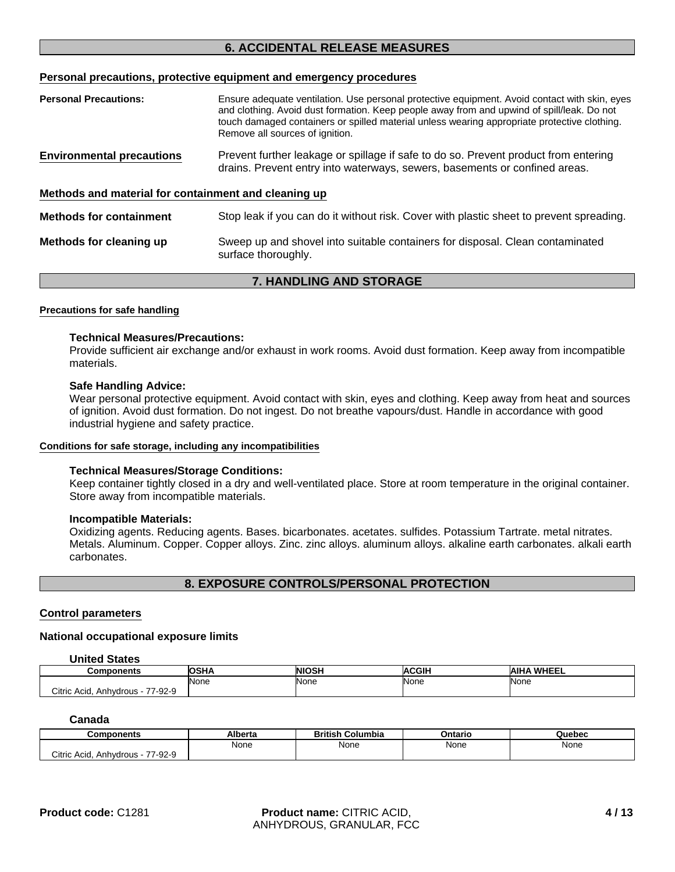## **6. ACCIDENTAL RELEASE MEASURES**

#### **Personal precautions, protective equipment and emergency procedures**

| <b>Personal Precautions:</b>                         | Ensure adequate ventilation. Use personal protective equipment. Avoid contact with skin, eyes<br>and clothing. Avoid dust formation. Keep people away from and upwind of spill/leak. Do not<br>touch damaged containers or spilled material unless wearing appropriate protective clothing.<br>Remove all sources of ignition. |  |
|------------------------------------------------------|--------------------------------------------------------------------------------------------------------------------------------------------------------------------------------------------------------------------------------------------------------------------------------------------------------------------------------|--|
| <b>Environmental precautions</b>                     | Prevent further leakage or spillage if safe to do so. Prevent product from entering<br>drains. Prevent entry into waterways, sewers, basements or confined areas.                                                                                                                                                              |  |
| Methods and material for containment and cleaning up |                                                                                                                                                                                                                                                                                                                                |  |
| <b>Methods for containment</b>                       | Stop leak if you can do it without risk. Cover with plastic sheet to prevent spreading.                                                                                                                                                                                                                                        |  |
| Methods for cleaning up                              | Sweep up and shovel into suitable containers for disposal. Clean contaminated<br>surface thoroughly.                                                                                                                                                                                                                           |  |

#### **7. HANDLING AND STORAGE**

#### **Precautions for safe handling**

#### **Technical Measures/Precautions:**

Provide sufficient air exchange and/or exhaust in work rooms. Avoid dust formation. Keep away from incompatible materials.

#### **Safe Handling Advice:**

Wear personal protective equipment. Avoid contact with skin, eyes and clothing. Keep away from heat and sources of ignition. Avoid dust formation. Do not ingest. Do not breathe vapours/dust. Handle in accordance with good industrial hygiene and safety practice.

#### **Conditions for safe storage, including any incompatibilities**

#### **Technical Measures/Storage Conditions:**

Keep container tightly closed in a dry and well-ventilated place. Store at room temperature in the original container. Store away from incompatible materials.

#### **Incompatible Materials:**

Oxidizing agents. Reducing agents. Bases. bicarbonates. acetates. sulfides. Potassium Tartrate. metal nitrates. Metals. Aluminum. Copper. Copper alloys. Zinc. zinc alloys. aluminum alloys. alkaline earth carbonates. alkali earth carbonates.

## **8. EXPOSURE CONTROLS/PERSONAL PROTECTION**

#### **Control parameters**

#### **National occupational exposure limits**

#### **United States**

| Components                                | .    | <b>NIOSH</b> | ACCIP<br>ыı | <b>WHEEL</b><br>AIH |
|-------------------------------------------|------|--------------|-------------|---------------------|
|                                           | None | None         | None        | <b>None</b>         |
| Citric Acid.<br>7-92-9<br>––<br>Anhydrous |      |              |             |                     |

#### **Canada**

| Components                                  | Alberta | <b>British</b><br>⊦Columbia | Ontario | Quebec |
|---------------------------------------------|---------|-----------------------------|---------|--------|
|                                             | None    | None                        | None    | None   |
| Citric Acid.<br>7-92-9<br>ララ<br>- Anhydrous |         |                             |         |        |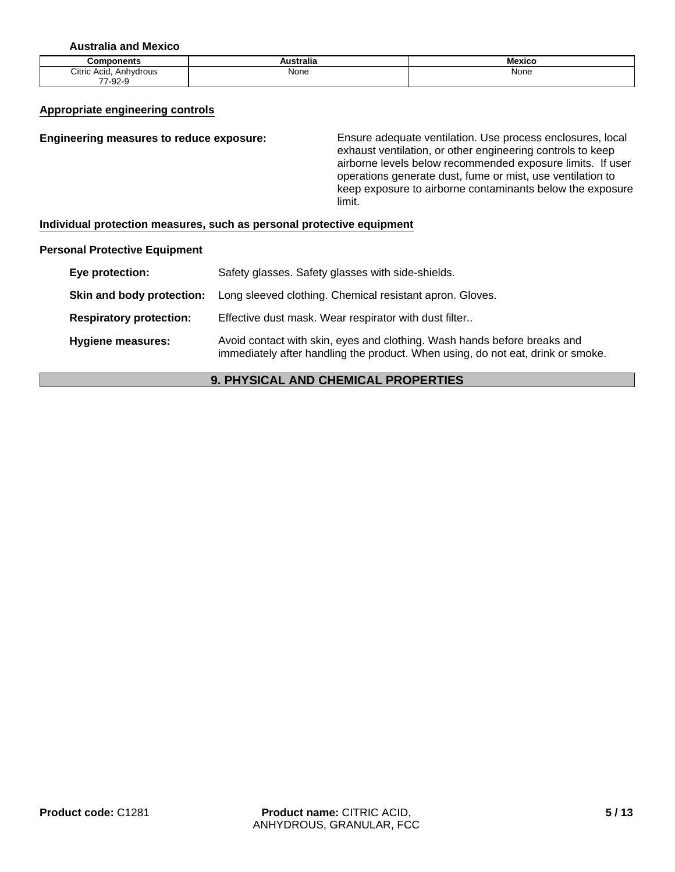**Australia and Mexico**

| mnnon<br>ponents              | $- -$<br>'stralia | - -<br>Mexico |
|-------------------------------|-------------------|---------------|
| Anhydrous<br>Citric Acid,     | None              | None          |
| $\sim$ $\sim$<br>--<br>'∹স∠∹১ |                   |               |

#### **Appropriate engineering controls**

#### **Engineering measures to reduce exposure:** Ensure adequate ventilation. Use process enclosures, local exhaust ventilation, or other engineering controls to keep airborne levels below recommended exposure limits. If user operations generate dust, fume or mist, use ventilation to keep exposure to airborne contaminants below the exposure

#### **Individual protection measures, such as personal protective equipment**

#### **Personal Protective Equipment**

| Eye protection:                | Safety glasses. Safety glasses with side-shields.                                                                                                           |
|--------------------------------|-------------------------------------------------------------------------------------------------------------------------------------------------------------|
| Skin and body protection:      | Long sleeved clothing. Chemical resistant apron. Gloves.                                                                                                    |
| <b>Respiratory protection:</b> | Effective dust mask. Wear respirator with dust filter                                                                                                       |
| <b>Hygiene measures:</b>       | Avoid contact with skin, eyes and clothing. Wash hands before breaks and<br>immediately after handling the product. When using, do not eat, drink or smoke. |

limit.

## **9. PHYSICAL AND CHEMICAL PROPERTIES**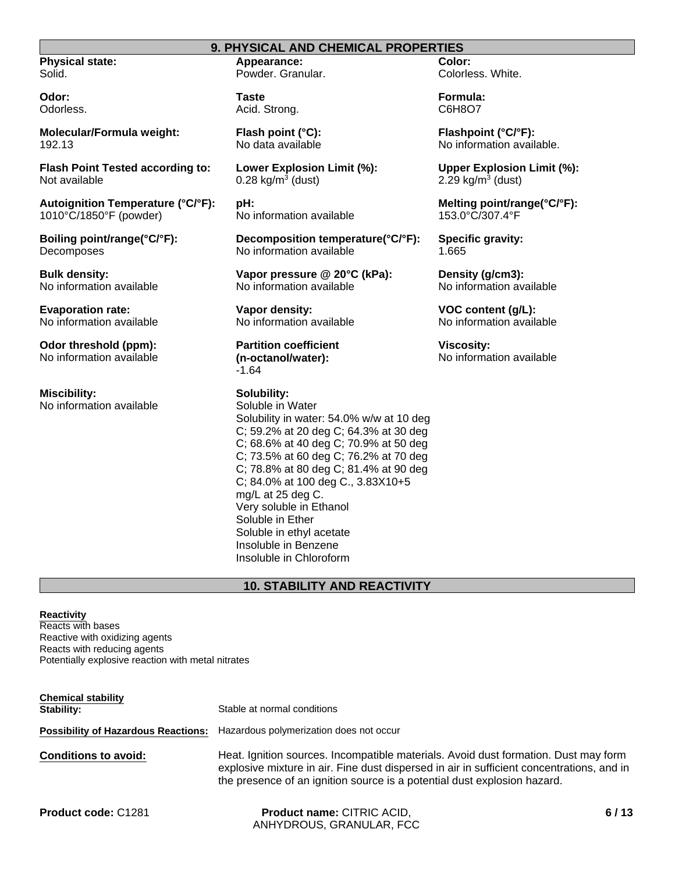#### **9. PHYSICAL AND CHEMICAL PROPERTIES**

**Physical state:** Solid.

**Odor:** Odorless.

**Molecular/Formula weight:** 192.13

**Flash Point Tested according to:** Not available

**Autoignition Temperature (°C/°F):** 1010°C/1850°F (powder)

**Boiling point/range(°C/°F):** Decomposes

**Bulk density:** No information available

**Evaporation rate:** No information available

**Odor threshold (ppm):** No information available

**Miscibility:** No information available **Appearance:** Powder. Granular.

**Taste** Acid. Strong.

**Flash point (°C):** No data available

**Lower Explosion Limit (%):**  $0.28$  kg/m<sup>3</sup> (dust)

**pH:** No information available

**Decomposition temperature(°C/°F):** No information available

**Vapor pressure @ 20°C (kPa):** No information available

**Vapor density:** No information available

**Partition coefficient (n-octanol/water):** -1.64

## **Solubility:**

Soluble in Water Solubility in water: 54.0% w/w at 10 deg C; 59.2% at 20 deg C; 64.3% at 30 deg C; 68.6% at 40 deg C; 70.9% at 50 deg C; 73.5% at 60 deg C; 76.2% at 70 deg C; 78.8% at 80 deg C; 81.4% at 90 deg C; 84.0% at 100 deg C., 3.83X10+5 mg/L at 25 deg C. Very soluble in Ethanol Soluble in Ether Soluble in ethyl acetate Insoluble in Benzene Insoluble in Chloroform

## **10. STABILITY AND REACTIVITY**

#### **Reactivity**

Reacts with bases Reactive with oxidizing agents Reacts with reducing agents Potentially explosive reaction with metal nitrates

| <b>Chemical stability</b><br>Stability:    | Stable at normal conditions                                                                                                                                                                                                                                  |
|--------------------------------------------|--------------------------------------------------------------------------------------------------------------------------------------------------------------------------------------------------------------------------------------------------------------|
| <b>Possibility of Hazardous Reactions:</b> | Hazardous polymerization does not occur                                                                                                                                                                                                                      |
| <b>Conditions to avoid:</b>                | Heat. Ignition sources. Incompatible materials. Avoid dust formation. Dust may form<br>explosive mixture in air. Fine dust dispersed in air in sufficient concentrations, and in<br>the presence of an ignition source is a potential dust explosion hazard. |

| <b>Product code: C1281</b> |  |  |
|----------------------------|--|--|
|----------------------------|--|--|

**Product name:** CITRIC ACID, ANHYDROUS, GRANULAR, FCC **Color:** Colorless. White.

**Formula:** C6H8O7

**Flashpoint (°C/°F):** No information available.

**Upper Explosion Limit (%):**  $2.29$  kg/m<sup>3</sup> (dust)

**Melting point/range(°C/°F):** 153.0°C/307.4°F

**Specific gravity:** 1.665

**Density (g/cm3):** No information available

**VOC content (g/L):** No information available

**Viscosity:** No information available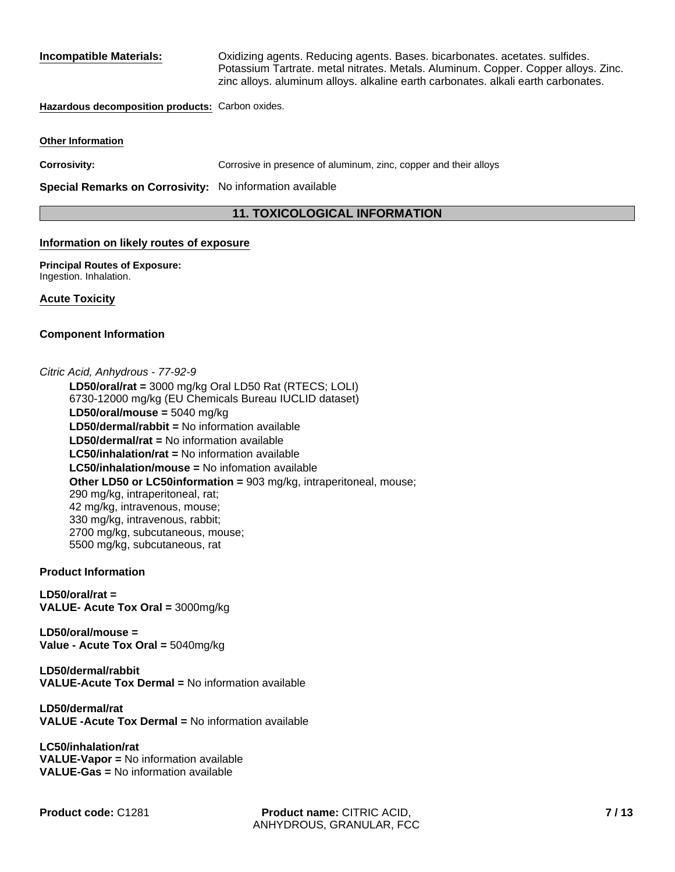**Incompatible Materials:** Oxidizing agents. Reducing agents. Bases. bicarbonates. acetates. sulfides. Potassium Tartrate. metal nitrates. Metals. Aluminum. Copper. Copper alloys. Zinc. zinc alloys. aluminum alloys. alkaline earth carbonates. alkali earth carbonates.

#### **Hazardous decomposition products:** Carbon oxides.

#### **Other Information**

**Corrosivity:** Corrosive in presence of aluminum, zinc, copper and their alloys

**Special Remarks on Corrosivity:** No information available

## **11. TOXICOLOGICAL INFORMATION**

#### **Information on likely routes of exposure**

**Principal Routes of Exposure:** Ingestion. Inhalation.

#### **Acute Toxicity**

#### **Component Information**

*Citric Acid, Anhydrous - 77-92-9*

**LC50/inhalation/rat =** No information available **LD50/oral/mouse =** 5040 mg/kg **LC50/inhalation/mouse =** No infomation available **LD50/oral/rat =** 3000 mg/kg Oral LD50 Rat (RTECS; LOLI) 6730-12000 mg/kg (EU Chemicals Bureau IUCLID dataset) **Other LD50 or LC50information =** 903 mg/kg, intraperitoneal, mouse; 290 mg/kg, intraperitoneal, rat; 42 mg/kg, intravenous, mouse; 330 mg/kg, intravenous, rabbit; 2700 mg/kg, subcutaneous, mouse; 5500 mg/kg, subcutaneous, rat **LD50/dermal/rabbit =** No information available **LD50/dermal/rat =** No information available

#### **Product Information**

**LD50/oral/rat = VALUE- Acute Tox Oral =** 3000mg/kg

**LD50/oral/mouse = Value - Acute Tox Oral =** 5040mg/kg

**LD50/dermal/rabbit VALUE-Acute Tox Dermal =** No information available

**LD50/dermal/rat VALUE -Acute Tox Dermal =** No information available

**LC50/inhalation/rat VALUE-Vapor =** No information available **VALUE-Gas =** No information available

**Product code:** C1281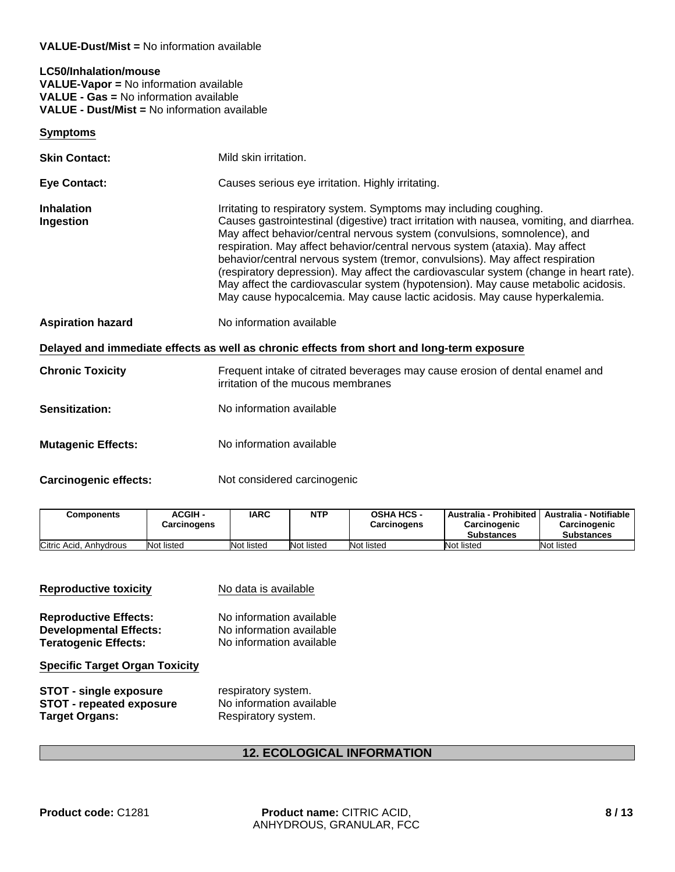#### **VALUE-Dust/Mist =** No information available

### **LC50/Inhalation/mouse VALUE-Vapor =** No information available **VALUE - Gas =** No information available **VALUE - Dust/Mist =** No information available

#### **Symptoms**

| <b>Skin Contact:</b>           | Mild skin irritation.                                                                                                                                                                                                                                                                                                                                                                                                                                                                                                                                                                                                                                                      |  |  |  |
|--------------------------------|----------------------------------------------------------------------------------------------------------------------------------------------------------------------------------------------------------------------------------------------------------------------------------------------------------------------------------------------------------------------------------------------------------------------------------------------------------------------------------------------------------------------------------------------------------------------------------------------------------------------------------------------------------------------------|--|--|--|
| Eye Contact:                   | Causes serious eye irritation. Highly irritating.                                                                                                                                                                                                                                                                                                                                                                                                                                                                                                                                                                                                                          |  |  |  |
| <b>Inhalation</b><br>Ingestion | Irritating to respiratory system. Symptoms may including coughing.<br>Causes gastrointestinal (digestive) tract irritation with nausea, vomiting, and diarrhea.<br>May affect behavior/central nervous system (convulsions, somnolence), and<br>respiration. May affect behavior/central nervous system (ataxia). May affect<br>behavior/central nervous system (tremor, convulsions). May affect respiration<br>(respiratory depression). May affect the cardiovascular system (change in heart rate).<br>May affect the cardiovascular system (hypotension). May cause metabolic acidosis.<br>May cause hypocalcemia. May cause lactic acidosis. May cause hyperkalemia. |  |  |  |
| <b>Aspiration hazard</b>       | No information available                                                                                                                                                                                                                                                                                                                                                                                                                                                                                                                                                                                                                                                   |  |  |  |
|                                | Delayed and immediate effects as well as chronic effects from short and long-term exposure                                                                                                                                                                                                                                                                                                                                                                                                                                                                                                                                                                                 |  |  |  |
| <b>Chronic Toxicity</b>        | Frequent intake of citrated beverages may cause erosion of dental enamel and<br>irritation of the mucous membranes                                                                                                                                                                                                                                                                                                                                                                                                                                                                                                                                                         |  |  |  |
| <b>Sensitization:</b>          | No information available                                                                                                                                                                                                                                                                                                                                                                                                                                                                                                                                                                                                                                                   |  |  |  |
| <b>Mutagenic Effects:</b>      | No information available                                                                                                                                                                                                                                                                                                                                                                                                                                                                                                                                                                                                                                                   |  |  |  |

**Carcinogenic effects:** Not considered carcinogenic

| <b>Components</b>      | <b>ACGIH -</b><br>Carcinogens | <b>IARC</b> | <b>NTP</b> | <b>OSHA HCS -</b><br><b>Carcinogens</b> | Australia - Prohibited<br><b>Carcinogenic</b><br><b>Substances</b> | Australia - Notifiable<br>Carcinogenic<br><b>Substances</b> |
|------------------------|-------------------------------|-------------|------------|-----------------------------------------|--------------------------------------------------------------------|-------------------------------------------------------------|
| Citric Acid. Anhydrous | Not listed                    | Not listed  | Not listed | Not listed                              | Not listed                                                         | Not listed                                                  |

| <b>Reproductive toxicity</b>          | No data is available     |  |  |
|---------------------------------------|--------------------------|--|--|
| <b>Reproductive Effects:</b>          | No information available |  |  |
| <b>Developmental Effects:</b>         | No information available |  |  |
| <b>Teratogenic Effects:</b>           | No information available |  |  |
| <b>Specific Target Organ Toxicity</b> |                          |  |  |
| <b>STOT - single exposure</b>         | respiratory system.      |  |  |
| <b>STOT - repeated exposure</b>       | No information available |  |  |
| <b>Target Organs:</b>                 | Respiratory system.      |  |  |

## **12. ECOLOGICAL INFORMATION**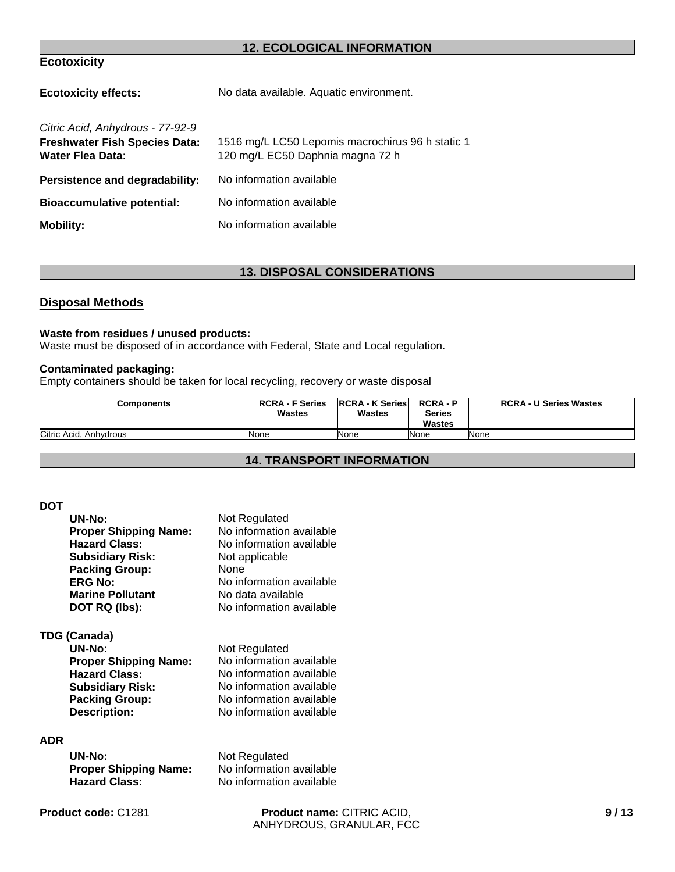## **12. ECOLOGICAL INFORMATION**

## **Ecotoxicity**

| No data available. Aquatic environment.                                              |
|--------------------------------------------------------------------------------------|
| 1516 mg/L LC50 Lepomis macrochirus 96 h static 1<br>120 mg/L EC50 Daphnia magna 72 h |
| No information available                                                             |
| No information available                                                             |
| No information available                                                             |
|                                                                                      |

## **13. DISPOSAL CONSIDERATIONS**

## **Disposal Methods**

#### **Waste from residues / unused products:**

Waste must be disposed of in accordance with Federal, State and Local regulation.

#### **Contaminated packaging:**

Empty containers should be taken for local recycling, recovery or waste disposal

| <b>Components</b>      | <b>RCRA - F Series</b><br>Wastes | <b>IRCRA - K Series</b><br>Wastes | <b>RCRA-P</b><br><b>Series</b><br><b>Wastes</b> | <b>RCRA - U Series Wastes</b> |
|------------------------|----------------------------------|-----------------------------------|-------------------------------------------------|-------------------------------|
| Citric Acid, Anhydrous | None                             | <b>None</b>                       | None                                            | None                          |

## **14. TRANSPORT INFORMATION**

#### **DOT**

| UN-No:                       | Not Regulated            |
|------------------------------|--------------------------|
| <b>Proper Shipping Name:</b> | No information available |
| <b>Hazard Class:</b>         | No information available |
| <b>Subsidiary Risk:</b>      | Not applicable           |
| <b>Packing Group:</b>        | <b>None</b>              |
| <b>ERG No:</b>               | No information available |
| <b>Marine Pollutant</b>      | No data available        |
| DOT RQ (lbs):                | No information available |

## **TDG (Canada)**

| UN-No:                       | Not Regulated            |
|------------------------------|--------------------------|
| <b>Proper Shipping Name:</b> | No information available |
| <b>Hazard Class:</b>         | No information available |
| <b>Subsidiary Risk:</b>      | No information available |
| <b>Packing Group:</b>        | No information available |
| <b>Description:</b>          | No information available |

## **ADR**

| UN-No:                       |  |
|------------------------------|--|
| <b>Proper Shipping Name:</b> |  |
| <b>Hazard Class:</b>         |  |

**Not Regulated No information available Hazard Class:** No information available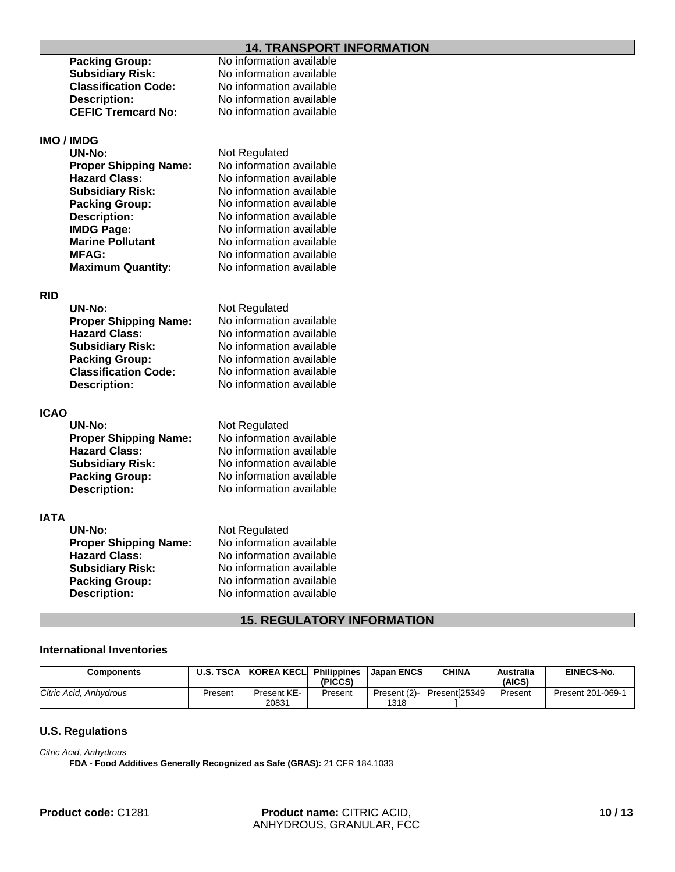## **14. TRANSPORT INFORMATION**

|             |                              | .                        |
|-------------|------------------------------|--------------------------|
|             | <b>Packing Group:</b>        | No information available |
|             | <b>Subsidiary Risk:</b>      | No information available |
|             | <b>Classification Code:</b>  | No information available |
|             | <b>Description:</b>          | No information available |
|             | <b>CEFIC Tremcard No:</b>    | No information available |
|             |                              |                          |
|             | IMO / IMDG                   |                          |
|             | UN-No:                       | Not Regulated            |
|             | <b>Proper Shipping Name:</b> | No information available |
|             | <b>Hazard Class:</b>         | No information available |
|             | <b>Subsidiary Risk:</b>      | No information available |
|             | <b>Packing Group:</b>        | No information available |
|             | <b>Description:</b>          | No information available |
|             | <b>IMDG Page:</b>            | No information available |
|             | <b>Marine Pollutant</b>      | No information available |
|             | <b>MFAG:</b>                 | No information available |
|             | <b>Maximum Quantity:</b>     | No information available |
|             |                              |                          |
| RID         |                              |                          |
|             | <b>UN-No:</b>                | Not Regulated            |
|             | <b>Proper Shipping Name:</b> | No information available |
|             | <b>Hazard Class:</b>         | No information available |
|             | <b>Subsidiary Risk:</b>      | No information available |
|             | <b>Packing Group:</b>        | No information available |
|             | <b>Classification Code:</b>  | No information available |
|             | <b>Description:</b>          | No information available |
|             |                              |                          |
| <b>ICAO</b> |                              |                          |
|             | <b>UN-No:</b>                | Not Regulated            |
|             | <b>Proper Shipping Name:</b> | No information available |
|             | <b>Hazard Class:</b>         | No information available |
|             | <b>Subsidiary Risk:</b>      | No information available |
|             | <b>Packing Group:</b>        | No information available |
|             | <b>Description:</b>          | No information available |
|             |                              |                          |
| <b>IATA</b> |                              |                          |
|             | <b>UN-No:</b>                | Not Regulated            |
|             | <b>Proper Shipping Name:</b> | No information available |
|             | <b>Hazard Class:</b>         | No information available |
|             | <b>Subsidiary Risk:</b>      | No information available |
|             | <b>Packing Group:</b>        | No information available |
|             | <b>Description:</b>          | No information available |
|             |                              |                          |

## **15. REGULATORY INFORMATION**

## **International Inventories**

| Components             | <b>U.S. TSCA</b> | KOREA KECLI          | <b>Philippines</b><br>(PICCS) | l Japan ENCS         | <b>CHINA</b>   | <b>Australia</b><br>(AICS) | <b>EINECS-No.</b> |
|------------------------|------------------|----------------------|-------------------------------|----------------------|----------------|----------------------------|-------------------|
| Citric Acid. Anhydrous | Present          | Present KE-<br>20831 | Present                       | Present (2)-<br>1318 | Present[25349] | Present                    | Present 201-069-1 |

## **U.S. Regulations**

*Citric Acid, Anhydrous*

**FDA - Food Additives Generally Recognized as Safe (GRAS):** 21 CFR 184.1033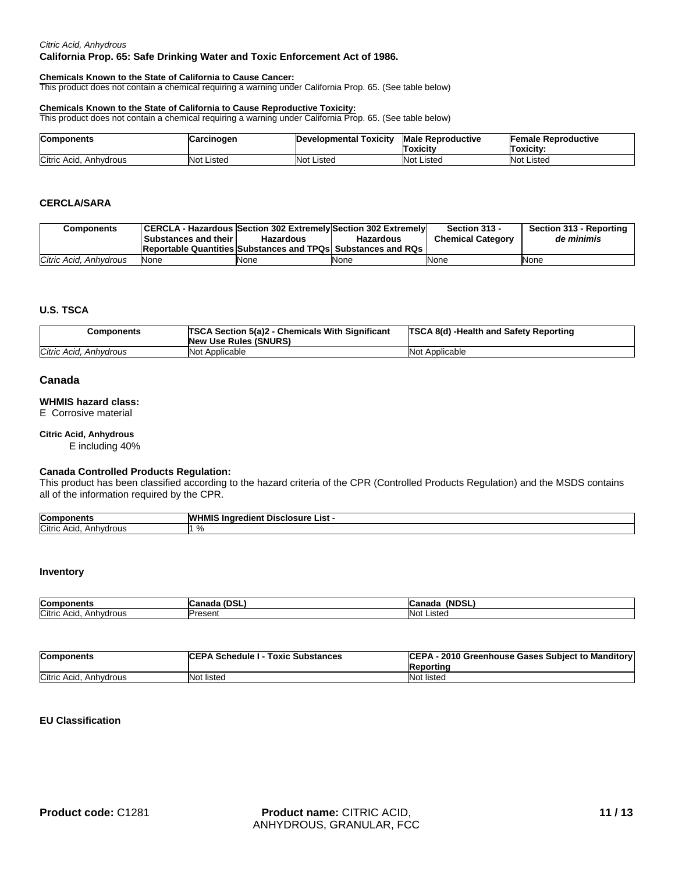#### *Citric Acid, Anhydrous*

#### **California Prop. 65: Safe Drinking Water and Toxic Enforcement Act of 1986.**

#### **Chemicals Known to the State of California to Cause Cancer:**

This product does not contain a chemical requiring a warning under California Prop. 65. (See table below)

#### **Chemicals Known to the State of California to Cause Reproductive Toxicity:**

This product does not contain a chemical requiring a warning under California Prop. 65. (See table below)

| <b>Components</b>         | <b>ICarcinogen</b> | Developmental Toxicity | <b>Male Reproductive</b><br><b>Toxicity</b> | <b>Female Reproductive</b><br>Toxicitv: |
|---------------------------|--------------------|------------------------|---------------------------------------------|-----------------------------------------|
| Citric Acid,<br>Anhvdrous | <b>Not Listed</b>  | Not Listed             | <b>Not Listed</b>                           | <b>Not Listed</b>                       |

#### **CERCLA/SARA**

| Components             | <b>Substances and their I</b> | CERCLA - Hazardous Section 302 Extremely Section 302 Extremely<br>Hazardous | <b>Hazardous</b> | Section 313 -<br><b>Chemical Category</b> | Section 313 - Reporting<br>de minimis |
|------------------------|-------------------------------|-----------------------------------------------------------------------------|------------------|-------------------------------------------|---------------------------------------|
|                        |                               | <b>Reportable Quantities Substances and TPQs Substances and RQs</b>         |                  |                                           |                                       |
| Citric Acid. Anhydrous | None                          | None                                                                        | None             | None                                      | None                                  |

#### **U.S. TSCA**

| Components             | <b>TSCA Section 5(a)2 - Chemicals With Significant</b><br><b>New Use Rules (SNURS)</b> | <b>TSCA 8(d) -Health and Safety Reporting</b> |
|------------------------|----------------------------------------------------------------------------------------|-----------------------------------------------|
| Citric Acid, Anhydrous | Not Applicable                                                                         | <b>Not Applicable</b>                         |

#### **Canada**

#### **WHMIS hazard class:**

E Corrosive material

## **Citric Acid, Anhydrous**

E including 40%

#### **Canada Controlled Products Regulation:**

This product has been classified according to the hazard criteria of the CPR (Controlled Products Regulation) and the MSDS contains all of the information required by the CPR.

| Com                               | W<br>. ∟ist ⊹<br>Dis<br>"dien"<br>sciosure |
|-----------------------------------|--------------------------------------------|
| Citric<br>ACIO.<br>ำvdrous<br>Ank | n,<br>ە⁄"                                  |

#### **Inventory**

| Con                              |                      | 1.15.7<br>r<br>1 M L<br>лас<br>rv. |
|----------------------------------|----------------------|------------------------------------|
| Citric<br>Acıa<br>hvdrous<br>Ann | $$ rooont<br>ъe<br>. | <b>Not</b><br>∵ıstec               |

| <b>Components</b>           | <b>ICEPA Schedule I - Toxic Substances</b> | CEPA - 2010 Greenhouse Gases Subject to Manditory<br>Reporting |
|-----------------------------|--------------------------------------------|----------------------------------------------------------------|
| Citric Acid,<br>. Anhvdrous | Not listed                                 | Not listed                                                     |

#### **EU Classification**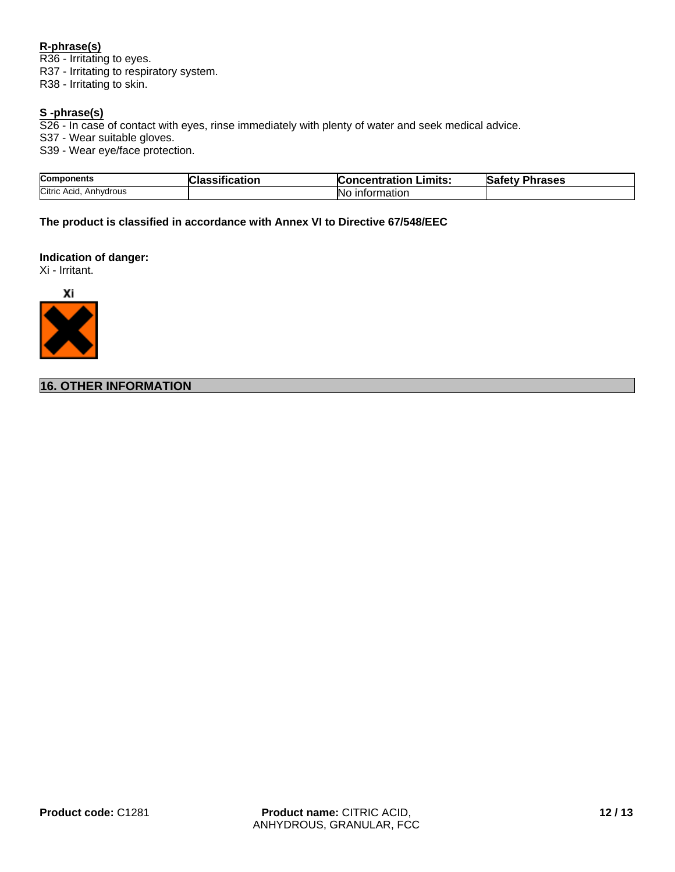## **R-phrase(s)**

R36 - Irritating to eyes. R37 - Irritating to respiratory system. R38 - Irritating to skin.

## **S -phrase(s)**

S26 - In case of contact with eyes, rinse immediately with plenty of water and seek medical advice.

S37 - Wear suitable gloves.

S39 - Wear eye/face protection.

| <b>Components</b>         | <b>Cloccitus</b> | Limits:                  | <b>v Phrases</b> |
|---------------------------|------------------|--------------------------|------------------|
|                           | hcation          | <b>Concentration</b>     | <b>Safety</b>    |
| Citric Acid,<br>Anhydrous |                  | No<br><b>Information</b> |                  |

**The product is classified in accordance with Annex VI to Directive 67/548/EEC**

### **Indication of danger:**

Xi - Irritant.



**16. OTHER INFORMATION**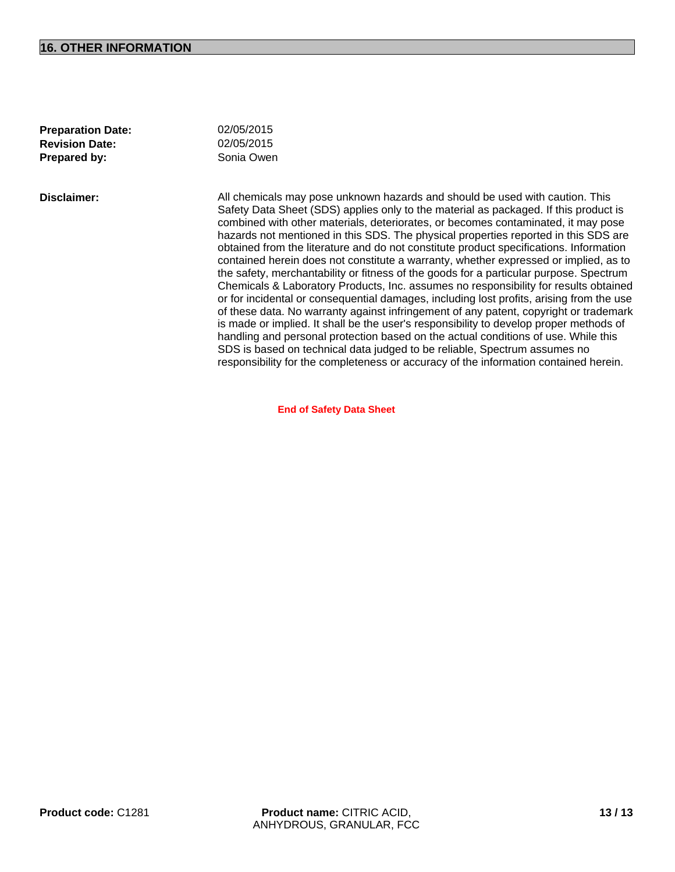#### **16. OTHER INFORMATION**

02/05/2015

**Preparation Date: Revision Date:** 02/05/2015 **Prepared by:** Sonia Owen

**Disclaimer:** All chemicals may pose unknown hazards and should be used with caution. This Safety Data Sheet (SDS) applies only to the material as packaged. If this product is combined with other materials, deteriorates, or becomes contaminated, it may pose hazards not mentioned in this SDS. The physical properties reported in this SDS are obtained from the literature and do not constitute product specifications. Information contained herein does not constitute a warranty, whether expressed or implied, as to the safety, merchantability or fitness of the goods for a particular purpose. Spectrum Chemicals & Laboratory Products, Inc. assumes no responsibility for results obtained or for incidental or consequential damages, including lost profits, arising from the use of these data. No warranty against infringement of any patent, copyright or trademark is made or implied. It shall be the user's responsibility to develop proper methods of handling and personal protection based on the actual conditions of use. While this SDS is based on technical data judged to be reliable, Spectrum assumes no responsibility for the completeness or accuracy of the information contained herein.

**End of Safety Data Sheet**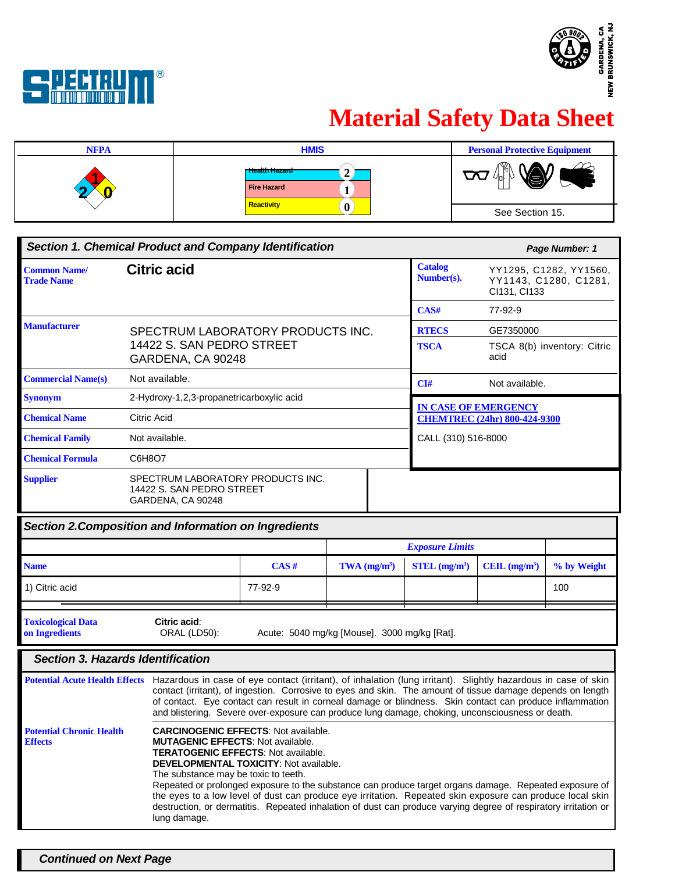



# **Material Safety Data Sheet**



| <b>Section 1. Chemical Product and Company Identification</b> |                                                                                     |  | Page Number: 1               |                                                                 |
|---------------------------------------------------------------|-------------------------------------------------------------------------------------|--|------------------------------|-----------------------------------------------------------------|
| <b>Common Name/</b><br><b>Trade Name</b>                      | <b>Citric acid</b>                                                                  |  | <b>Catalog</b><br>Number(s). | YY1295, C1282, YY1560,<br>YY1143, C1280, C1281,<br>CI131, CI133 |
|                                                               |                                                                                     |  | CAS#                         | 77-92-9                                                         |
| <b>Manufacturer</b>                                           | SPECTRUM LABORATORY PRODUCTS INC.                                                   |  | <b>RTECS</b>                 | GE7350000                                                       |
|                                                               | 14422 S. SAN PEDRO STREET<br>GARDENA, CA 90248                                      |  | <b>TSCA</b>                  | TSCA 8(b) inventory: Citric<br>acid                             |
| <b>Commercial Name(s)</b>                                     | Not available.                                                                      |  | CI#                          | Not available.                                                  |
| <b>Synonym</b>                                                | 2-Hydroxy-1,2,3-propanetricarboxylic acid                                           |  | <b>IN CASE OF EMERGENCY</b>  |                                                                 |
| <b>Chemical Name</b>                                          | Citric Acid                                                                         |  |                              | <b>CHEMTREC (24hr) 800-424-9300</b>                             |
| <b>Chemical Family</b>                                        | Not available.                                                                      |  | CALL (310) 516-8000          |                                                                 |
| <b>Chemical Formula</b>                                       | C6H8O7                                                                              |  |                              |                                                                 |
| <b>Supplier</b>                                               | SPECTRUM LABORATORY PRODUCTS INC.<br>14422 S. SAN PEDRO STREET<br>GARDENA, CA 90248 |  |                              |                                                                 |

| Section 2. Composition and Information on Ingredients |                                                                                                                                                                                                                                                                                                                                                                                                                                                                                                                                                                                          |                                              |                            |                             |                |             |
|-------------------------------------------------------|------------------------------------------------------------------------------------------------------------------------------------------------------------------------------------------------------------------------------------------------------------------------------------------------------------------------------------------------------------------------------------------------------------------------------------------------------------------------------------------------------------------------------------------------------------------------------------------|----------------------------------------------|----------------------------|-----------------------------|----------------|-------------|
|                                                       |                                                                                                                                                                                                                                                                                                                                                                                                                                                                                                                                                                                          |                                              |                            | <b>Exposure Limits</b>      |                |             |
| <b>Name</b>                                           |                                                                                                                                                                                                                                                                                                                                                                                                                                                                                                                                                                                          | CAS#                                         | $TWA$ (mg/m <sup>3</sup> ) | $STEL$ (mg/m <sup>3</sup> ) | CEIL $(mg/m3)$ | % by Weight |
| 1) Citric acid                                        |                                                                                                                                                                                                                                                                                                                                                                                                                                                                                                                                                                                          | 77-92-9                                      |                            |                             |                | 100         |
| <b>Toxicological Data</b><br>on Ingredients           | Citric acid:<br><b>ORAL (LD50):</b>                                                                                                                                                                                                                                                                                                                                                                                                                                                                                                                                                      | Acute: 5040 mg/kg [Mouse]. 3000 mg/kg [Rat]. |                            |                             |                |             |
|                                                       | <b>Section 3. Hazards Identification</b>                                                                                                                                                                                                                                                                                                                                                                                                                                                                                                                                                 |                                              |                            |                             |                |             |
| <b>Potential Acute Health Effects</b>                 | Hazardous in case of eye contact (irritant), of inhalation (lung irritant). Slightly hazardous in case of skin<br>contact (irritant), of ingestion. Corrosive to eyes and skin. The amount of tissue damage depends on length<br>of contact. Eye contact can result in corneal damage or blindness. Skin contact can produce inflammation<br>and blistering. Severe over-exposure can produce lung damage, choking, unconsciousness or death.                                                                                                                                            |                                              |                            |                             |                |             |
| <b>Potential Chronic Health</b><br><b>Effects</b>     | <b>CARCINOGENIC EFFECTS: Not available.</b><br><b>MUTAGENIC EFFECTS: Not available.</b><br><b>TERATOGENIC EFFECTS: Not available.</b><br><b>DEVELOPMENTAL TOXICITY: Not available.</b><br>The substance may be toxic to teeth.<br>Repeated or prolonged exposure to the substance can produce target organs damage. Repeated exposure of<br>the eyes to a low level of dust can produce eye irritation. Repeated skin exposure can produce local skin<br>destruction, or dermatitis. Repeated inhalation of dust can produce varying degree of respiratory irritation or<br>lung damage. |                                              |                            |                             |                |             |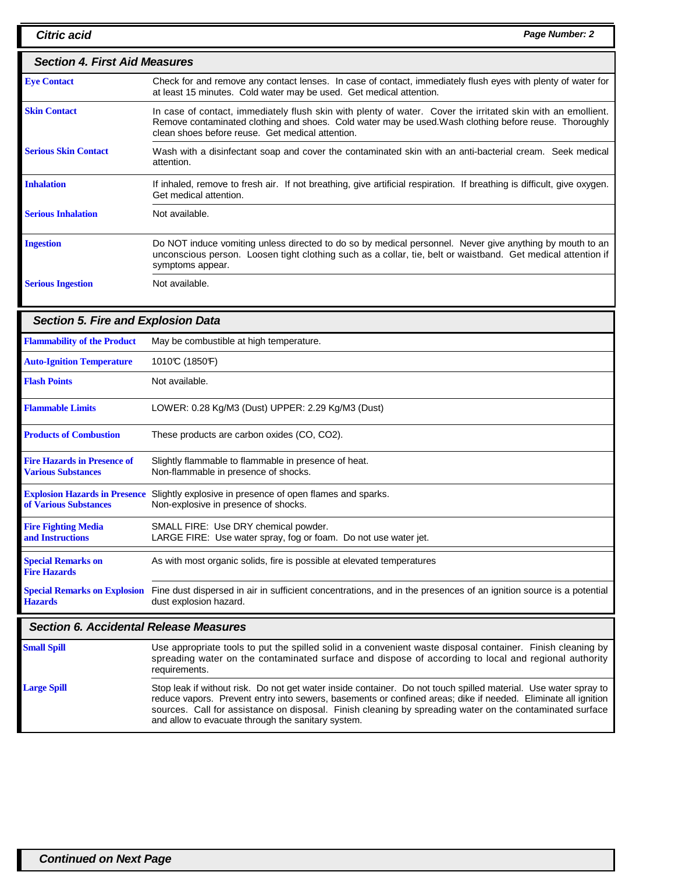| <b>Citric acid</b>                                              | Page Number: 2                                                                                                                                                                                                                                                             |
|-----------------------------------------------------------------|----------------------------------------------------------------------------------------------------------------------------------------------------------------------------------------------------------------------------------------------------------------------------|
| <b>Section 4. First Aid Measures</b>                            |                                                                                                                                                                                                                                                                            |
| <b>Eye Contact</b>                                              | Check for and remove any contact lenses. In case of contact, immediately flush eyes with plenty of water for<br>at least 15 minutes. Cold water may be used. Get medical attention.                                                                                        |
| <b>Skin Contact</b>                                             | In case of contact, immediately flush skin with plenty of water. Cover the irritated skin with an emollient.<br>Remove contaminated clothing and shoes. Cold water may be used. Wash clothing before reuse. Thoroughly<br>clean shoes before reuse. Get medical attention. |
| <b>Serious Skin Contact</b>                                     | Wash with a disinfectant soap and cover the contaminated skin with an anti-bacterial cream. Seek medical<br>attention.                                                                                                                                                     |
| <b>Inhalation</b>                                               | If inhaled, remove to fresh air. If not breathing, give artificial respiration. If breathing is difficult, give oxygen.<br>Get medical attention.                                                                                                                          |
| <b>Serious Inhalation</b>                                       | Not available.                                                                                                                                                                                                                                                             |
| <b>Ingestion</b>                                                | Do NOT induce vomiting unless directed to do so by medical personnel. Never give anything by mouth to an<br>unconscious person. Loosen tight clothing such as a collar, tie, belt or waistband. Get medical attention if<br>symptoms appear.                               |
| <b>Serious Ingestion</b>                                        | Not available.                                                                                                                                                                                                                                                             |
| <b>Section 5. Fire and Explosion Data</b>                       |                                                                                                                                                                                                                                                                            |
| <b>Flammability of the Product</b>                              | May be combustible at high temperature.                                                                                                                                                                                                                                    |
| <b>Auto-Ignition Temperature</b>                                | 1010°C (1850°F)                                                                                                                                                                                                                                                            |
| <b>Flash Points</b>                                             | Not available.                                                                                                                                                                                                                                                             |
| <b>Flammable Limits</b>                                         | LOWER: 0.28 Kg/M3 (Dust) UPPER: 2.29 Kg/M3 (Dust)                                                                                                                                                                                                                          |
| <b>Products of Combustion</b>                                   | These products are carbon oxides (CO, CO2).                                                                                                                                                                                                                                |
| <b>Fire Hazards in Presence of</b><br><b>Various Substances</b> | Slightly flammable to flammable in presence of heat.<br>Non-flammable in presence of shocks.                                                                                                                                                                               |
| of Various Substances                                           | Explosion Hazards in Presence Slightly explosive in presence of open flames and sparks.<br>Non-explosive in presence of shocks.                                                                                                                                            |
| <b>Fire Fighting Media</b><br>and Instructions                  | SMALL FIRE: Use DRY chemical powder.<br>LARGE FIRE: Use water spray, fog or foam. Do not use water jet.                                                                                                                                                                    |
| <b>Special Remarks on</b><br><b>Fire Hazards</b>                | As with most organic solids, fire is possible at elevated temperatures                                                                                                                                                                                                     |
| <b>Special Remarks on Explosion</b><br><b>Hazards</b>           | Fine dust dispersed in air in sufficient concentrations, and in the presences of an ignition source is a potential<br>dust explosion hazard.                                                                                                                               |
| $\sim$ $\sim$ $\sim$ $\sim$ $\sim$                              |                                                                                                                                                                                                                                                                            |

#### **Section 6. Accidental Release Measures**

| <b>Small Spill</b> | Use appropriate tools to put the spilled solid in a convenient waste disposal container. Finish cleaning by<br>spreading water on the contaminated surface and dispose of according to local and regional authority<br>requirements.                                                                                                                                                               |
|--------------------|----------------------------------------------------------------------------------------------------------------------------------------------------------------------------------------------------------------------------------------------------------------------------------------------------------------------------------------------------------------------------------------------------|
| <b>Large Spill</b> | Stop leak if without risk. Do not get water inside container. Do not touch spilled material. Use water spray to<br>reduce vapors. Prevent entry into sewers, basements or confined areas; dike if needed. Eliminate all ignition<br>sources. Call for assistance on disposal. Finish cleaning by spreading water on the contaminated surface<br>and allow to evacuate through the sanitary system. |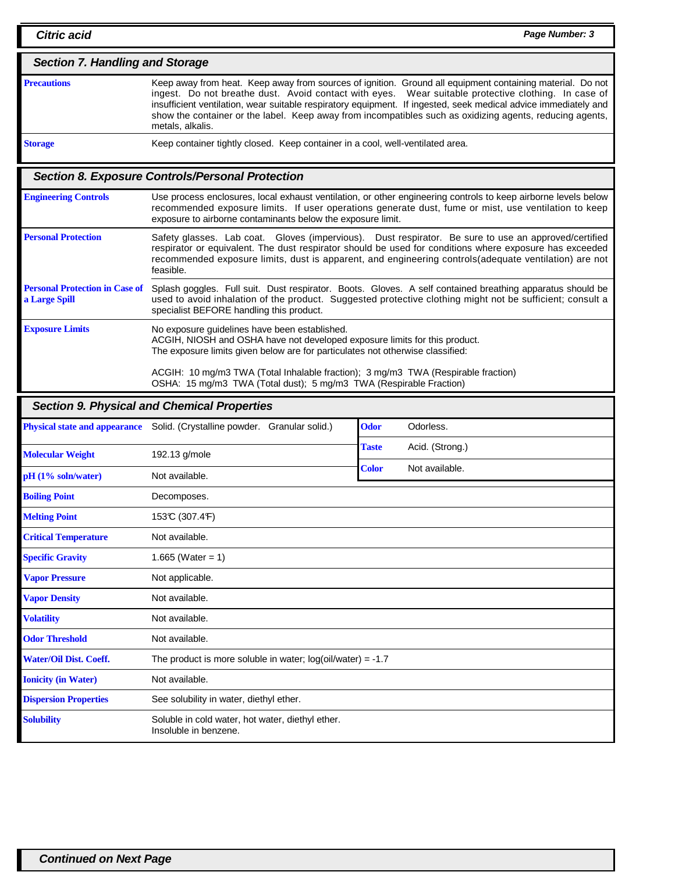| <b>Section 7. Handling and Storage</b> |                                                                                                                                                                                                                                                                                                                                                                                                                                                                     |  |  |
|----------------------------------------|---------------------------------------------------------------------------------------------------------------------------------------------------------------------------------------------------------------------------------------------------------------------------------------------------------------------------------------------------------------------------------------------------------------------------------------------------------------------|--|--|
| <b>Precautions</b>                     | Keep away from heat. Keep away from sources of ignition. Ground all equipment containing material. Do not<br>ingest. Do not breathe dust. Avoid contact with eyes. Wear suitable protective clothing. In case of<br>insufficient ventilation, wear suitable respiratory equipment. If ingested, seek medical advice immediately and<br>show the container or the label. Keep away from incompatibles such as oxidizing agents, reducing agents,<br>metals, alkalis. |  |  |
| <b>Storage</b>                         | Keep container tightly closed. Keep container in a cool, well-ventilated area.                                                                                                                                                                                                                                                                                                                                                                                      |  |  |

## **Section 8. Exposure Controls/Personal Protection**

| <b>Engineering Controls</b>                            | Use process enclosures, local exhaust ventilation, or other engineering controls to keep airborne levels below<br>recommended exposure limits. If user operations generate dust, fume or mist, use ventilation to keep<br>exposure to airborne contaminants below the exposure limit.                                                 |
|--------------------------------------------------------|---------------------------------------------------------------------------------------------------------------------------------------------------------------------------------------------------------------------------------------------------------------------------------------------------------------------------------------|
| <b>Personal Protection</b>                             | Safety glasses. Lab coat. Gloves (impervious). Dust respirator. Be sure to use an approved/certified<br>respirator or equivalent. The dust respirator should be used for conditions where exposure has exceeded<br>recommended exposure limits, dust is apparent, and engineering controls(adequate ventilation) are not<br>feasible. |
| <b>Personal Protection in Case of</b><br>a Large Spill | Splash goggles. Full suit. Dust respirator. Boots. Gloves. A self contained breathing apparatus should be<br>used to avoid inhalation of the product. Suggested protective clothing might not be sufficient; consult a<br>specialist BEFORE handling this product.                                                                    |
| <b>Exposure Limits</b>                                 | No exposure quidelines have been established.<br>ACGIH, NIOSH and OSHA have not developed exposure limits for this product.<br>The exposure limits given below are for particulates not otherwise classified:                                                                                                                         |
|                                                        | ACGIH: 10 mg/m3 TWA (Total Inhalable fraction); 3 mg/m3 TWA (Respirable fraction)                                                                                                                                                                                                                                                     |

OSHA: 15 mg/m3 TWA (Total dust); 5 mg/m3 TWA (Respirable Fraction)

## **Section 9. Physical and Chemical Properties**

| <b>Physical state and appearance</b> | Solid. (Crystalline powder.<br>Granular solid.)                           | <b>Odor</b>  | Odorless.       |
|--------------------------------------|---------------------------------------------------------------------------|--------------|-----------------|
|                                      |                                                                           | Taste        | Acid. (Strong.) |
| <b>Molecular Weight</b>              | 192.13 g/mole                                                             | <b>Color</b> |                 |
| $pH(1\% soln/water)$                 | Not available.                                                            |              | Not available.  |
| <b>Boiling Point</b>                 | Decomposes.                                                               |              |                 |
| <b>Melting Point</b>                 | 153°C (307.4°F)                                                           |              |                 |
| <b>Critical Temperature</b>          | Not available.                                                            |              |                 |
| <b>Specific Gravity</b>              | 1.665 (Water = $1$ )                                                      |              |                 |
| <b>Vapor Pressure</b>                | Not applicable.                                                           |              |                 |
| <b>Vapor Density</b>                 | Not available.                                                            |              |                 |
| <b>Volatility</b>                    | Not available.                                                            |              |                 |
| <b>Odor Threshold</b>                | Not available.                                                            |              |                 |
| <b>Water/Oil Dist. Coeff.</b>        | The product is more soluble in water; $log(oil/water) = -1.7$             |              |                 |
| <b>Ionicity (in Water)</b>           | Not available.                                                            |              |                 |
| <b>Dispersion Properties</b>         | See solubility in water, diethyl ether.                                   |              |                 |
| <b>Solubility</b>                    | Soluble in cold water, hot water, diethyl ether.<br>Insoluble in benzene. |              |                 |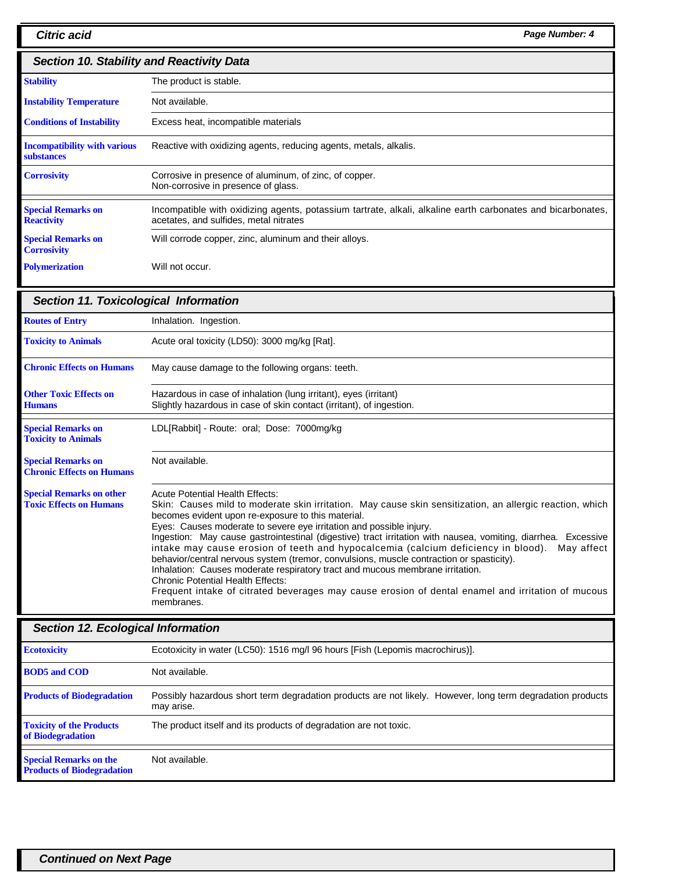| <b>Section 10. Stability and Reactivity Data</b>         |                                                                                                                                                       |  |
|----------------------------------------------------------|-------------------------------------------------------------------------------------------------------------------------------------------------------|--|
| <b>Stability</b>                                         | The product is stable.                                                                                                                                |  |
| <b>Instability Temperature</b>                           | Not available.                                                                                                                                        |  |
| <b>Conditions of Instability</b>                         | Excess heat, incompatible materials                                                                                                                   |  |
| <b>Incompatibility with various</b><br><b>substances</b> | Reactive with oxidizing agents, reducing agents, metals, alkalis.                                                                                     |  |
| <b>Corrosivity</b>                                       | Corrosive in presence of aluminum, of zinc, of copper.<br>Non-corrosive in presence of glass.                                                         |  |
| <b>Special Remarks on</b><br><b>Reactivity</b>           | Incompatible with oxidizing agents, potassium tartrate, alkali, alkaline earth carbonates and bicarbonates,<br>acetates, and sulfides, metal nitrates |  |
| <b>Special Remarks on</b><br><b>Corrosivity</b>          | Will corrode copper, zinc, aluminum and their alloys.                                                                                                 |  |
| <b>Polymerization</b>                                    | Will not occur.                                                                                                                                       |  |

| <b>Section 11. Toxicological Information</b>                      |                                                                                                                                                                                                                                                                                                                                                                                                                                                                                                                                                                                                                                                                                                                                                                                                                                                 |  |
|-------------------------------------------------------------------|-------------------------------------------------------------------------------------------------------------------------------------------------------------------------------------------------------------------------------------------------------------------------------------------------------------------------------------------------------------------------------------------------------------------------------------------------------------------------------------------------------------------------------------------------------------------------------------------------------------------------------------------------------------------------------------------------------------------------------------------------------------------------------------------------------------------------------------------------|--|
| <b>Routes of Entry</b>                                            | Inhalation. Ingestion.                                                                                                                                                                                                                                                                                                                                                                                                                                                                                                                                                                                                                                                                                                                                                                                                                          |  |
| <b>Toxicity to Animals</b>                                        | Acute oral toxicity (LD50): 3000 mg/kg [Rat].                                                                                                                                                                                                                                                                                                                                                                                                                                                                                                                                                                                                                                                                                                                                                                                                   |  |
| <b>Chronic Effects on Humans</b>                                  | May cause damage to the following organs: teeth.                                                                                                                                                                                                                                                                                                                                                                                                                                                                                                                                                                                                                                                                                                                                                                                                |  |
| <b>Other Toxic Effects on</b><br><b>Humans</b>                    | Hazardous in case of inhalation (lung irritant), eyes (irritant)<br>Slightly hazardous in case of skin contact (irritant), of ingestion.                                                                                                                                                                                                                                                                                                                                                                                                                                                                                                                                                                                                                                                                                                        |  |
| <b>Special Remarks on</b><br><b>Toxicity to Animals</b>           | LDL[Rabbit] - Route: oral; Dose: 7000mg/kg                                                                                                                                                                                                                                                                                                                                                                                                                                                                                                                                                                                                                                                                                                                                                                                                      |  |
| <b>Special Remarks on</b><br><b>Chronic Effects on Humans</b>     | Not available.                                                                                                                                                                                                                                                                                                                                                                                                                                                                                                                                                                                                                                                                                                                                                                                                                                  |  |
| <b>Special Remarks on other</b><br><b>Toxic Effects on Humans</b> | <b>Acute Potential Health Effects:</b><br>Skin: Causes mild to moderate skin irritation. May cause skin sensitization, an allergic reaction, which<br>becomes evident upon re-exposure to this material.<br>Eyes: Causes moderate to severe eye irritation and possible injury.<br>Ingestion: May cause gastrointestinal (digestive) tract irritation with nausea, vomiting, diarrhea. Excessive<br>intake may cause erosion of teeth and hypocalcemia (calcium deficiency in blood).<br>May affect<br>behavior/central nervous system (tremor, convulsions, muscle contraction or spasticity).<br>Inhalation: Causes moderate respiratory tract and mucous membrane irritation.<br><b>Chronic Potential Health Effects:</b><br>Frequent intake of citrated beverages may cause erosion of dental enamel and irritation of mucous<br>membranes. |  |

## **Section 12. Ecological Information**

| <b>Ecotoxicity</b>                                                 | Ecotoxicity in water (LC50): 1516 mg/l 96 hours [Fish (Lepomis macrochirus)].                                            |  |
|--------------------------------------------------------------------|--------------------------------------------------------------------------------------------------------------------------|--|
| <b>BOD5</b> and COD                                                | Not available.                                                                                                           |  |
| <b>Products of Biodegradation</b>                                  | Possibly hazardous short term degradation products are not likely. However, long term degradation products<br>may arise. |  |
| <b>Toxicity of the Products</b><br>of Biodegradation               | The product itself and its products of degradation are not toxic.                                                        |  |
| <b>Special Remarks on the</b><br><b>Products of Biodegradation</b> | Not available.                                                                                                           |  |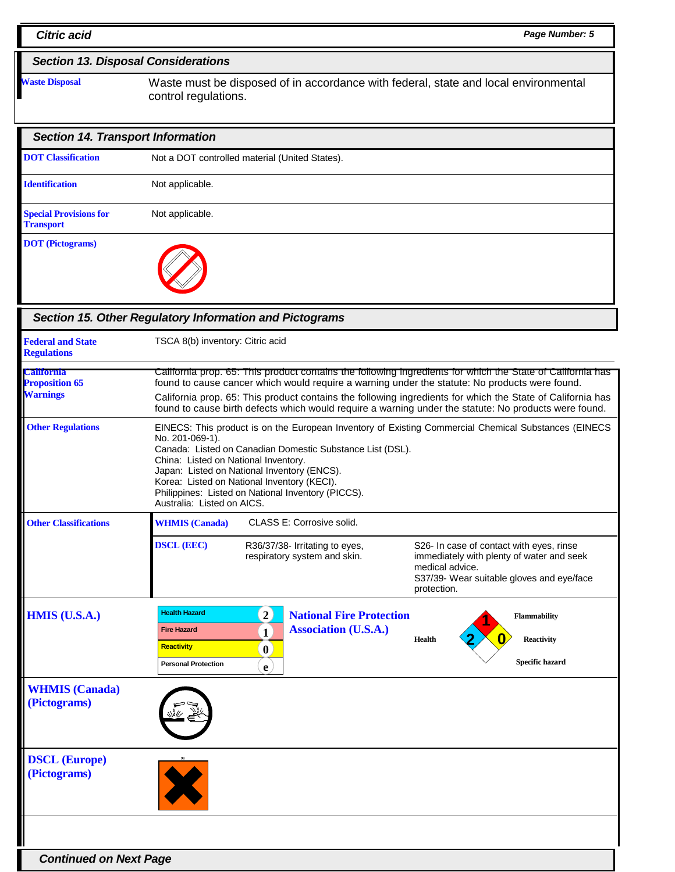| <b>Section 13. Disposal Considerations</b>        |                                                                                                                                                                                                                                                                                                                                                                                                                |  |  |
|---------------------------------------------------|----------------------------------------------------------------------------------------------------------------------------------------------------------------------------------------------------------------------------------------------------------------------------------------------------------------------------------------------------------------------------------------------------------------|--|--|
| <b>Waste Disposal</b>                             | Waste must be disposed of in accordance with federal, state and local environmental<br>control regulations.                                                                                                                                                                                                                                                                                                    |  |  |
| <b>Section 14. Transport Information</b>          |                                                                                                                                                                                                                                                                                                                                                                                                                |  |  |
| <b>DOT</b> Classification                         | Not a DOT controlled material (United States).                                                                                                                                                                                                                                                                                                                                                                 |  |  |
| <b>Identification</b>                             | Not applicable.                                                                                                                                                                                                                                                                                                                                                                                                |  |  |
| <b>Special Provisions for</b><br><b>Transport</b> | Not applicable.                                                                                                                                                                                                                                                                                                                                                                                                |  |  |
| <b>DOT</b> (Pictograms)                           |                                                                                                                                                                                                                                                                                                                                                                                                                |  |  |
|                                                   | Section 15. Other Regulatory Information and Pictograms                                                                                                                                                                                                                                                                                                                                                        |  |  |
| <b>Federal and State</b><br><b>Regulations</b>    | TSCA 8(b) inventory: Citric acid                                                                                                                                                                                                                                                                                                                                                                               |  |  |
| <b>California</b><br><b>Proposition 65</b>        | California prop. 65: This product contains the following ingredients for which the State of California has<br>found to cause cancer which would require a warning under the statute: No products were found.                                                                                                                                                                                                   |  |  |
| <b>Warnings</b>                                   | California prop. 65: This product contains the following ingredients for which the State of California has<br>found to cause birth defects which would require a warning under the statute: No products were found.                                                                                                                                                                                            |  |  |
| <b>Other Regulations</b>                          | EINECS: This product is on the European Inventory of Existing Commercial Chemical Substances (EINECS<br>No. 201-069-1).<br>Canada: Listed on Canadian Domestic Substance List (DSL).<br>China: Listed on National Inventory.<br>Japan: Listed on National Inventory (ENCS).<br>Korea: Listed on National Inventory (KECI).<br>Philippines: Listed on National Inventory (PICCS).<br>Australia: Listed on AICS. |  |  |
| <b>Other Classifications</b>                      | CLASS E: Corrosive solid.<br><b>WHMIS</b> (Canada)                                                                                                                                                                                                                                                                                                                                                             |  |  |
|                                                   | <b>DSCL (EEC)</b><br>R36/37/38- Irritating to eyes.<br>S26- In case of contact with eyes, rinse<br>respiratory system and skin.<br>immediately with plenty of water and seek<br>medical advice.<br>S37/39- Wear suitable gloves and eye/face<br>protection.                                                                                                                                                    |  |  |
| <b>HMIS (U.S.A.)</b>                              | <b>Health Hazard</b><br>$\overline{2}$<br><b>National Fire Protection</b><br><b>Flammability</b><br><b>Association (U.S.A.)</b><br><b>Fire Hazard</b><br>$\mathbf{1}$<br><b>Reactivity</b><br><b>Health</b><br><b>Reactivity</b><br>$\mathbf{0}$<br>Specific hazard<br><b>Personal Protection</b><br>$\mathbf{e}$                                                                                              |  |  |
| <b>WHMIS</b> (Canada)<br>(Pictograms)             |                                                                                                                                                                                                                                                                                                                                                                                                                |  |  |
| <b>DSCL (Europe)</b><br>(Pictograms)              |                                                                                                                                                                                                                                                                                                                                                                                                                |  |  |
|                                                   |                                                                                                                                                                                                                                                                                                                                                                                                                |  |  |